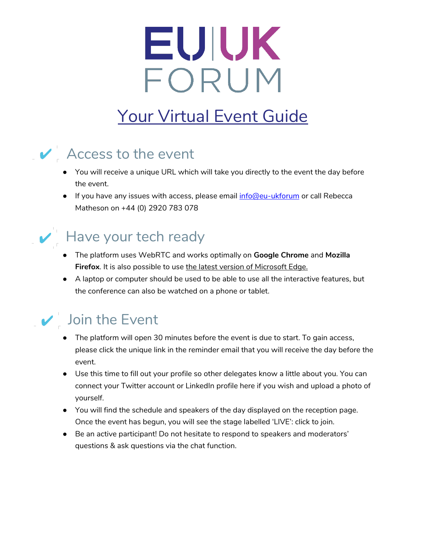# EUIUK FORUM

## Your Virtual Event Guide

#### $\vee$  Access to the event

- You will receive a unique URL which will take you directly to the event the day before the event.
- **•** If you have any issues with access, please email  $info@eu-ukforum$  or call Rebecca Matheson on +44 (0) 2920 783 078

#### $\vee$  Have your tech ready

- The platform uses WebRTC and works optimally on **Google Chrome** and **Mozilla**  Firefox. It is also possible to use the latest version of Microsoft Edge.
- A laptop or computer should be used to be able to use all the interactive features, but the conference can also be watched on a phone or tablet.

#### $\vee$  Join the Event

- The platform will open 30 minutes before the event is due to start. To gain access, please click the unique link in the reminder email that you will receive the day before the event.
- Use this time to fill out your profile so other delegates know a little about you. You can connect your Twitter account or LinkedIn profile here if you wish and upload a photo of yourself.
- You will find the schedule and speakers of the day displayed on the reception page. Once the event has begun, you will see the stage labelled 'LIVE': click to join.
- Be an active participant! Do not hesitate to respond to speakers and moderators' questions & ask questions via the chat function.